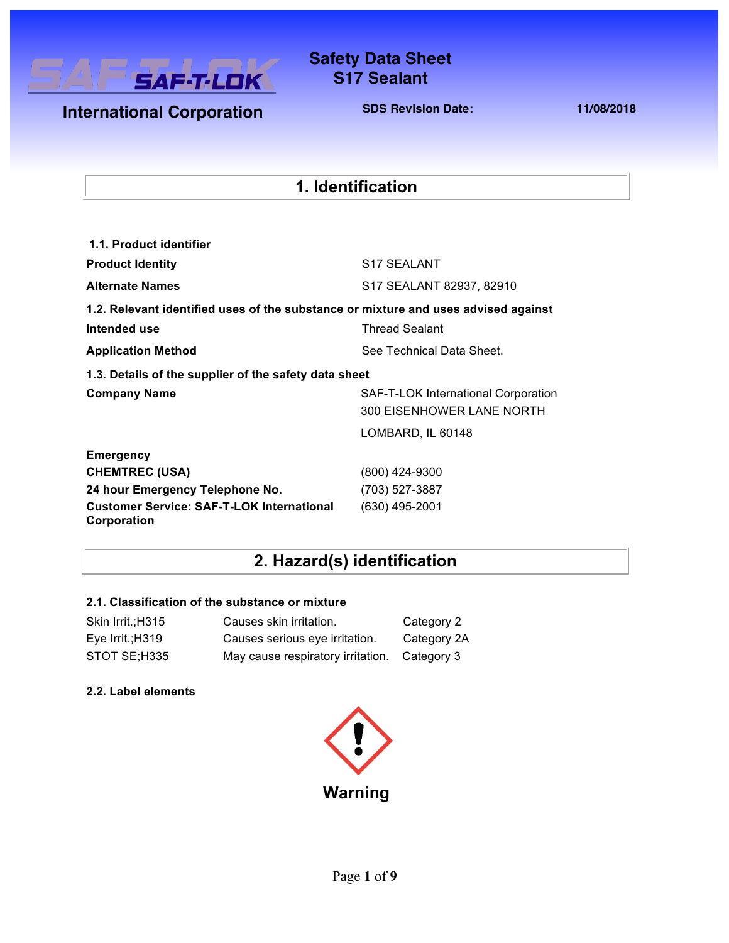

### **Safety Data Sheet Safety Data Sheet S17 Sealant**

**International Corporation** 

**SDS Revision Date: 11/08/2018**

### **1. Identification**

| 1.1. Product identifier                                                            |                                                                  |
|------------------------------------------------------------------------------------|------------------------------------------------------------------|
| <b>Product Identity</b>                                                            | S <sub>17</sub> SEALANT                                          |
| <b>Alternate Names</b>                                                             | S17 SEALANT 82937, 82910                                         |
| 1.2. Relevant identified uses of the substance or mixture and uses advised against |                                                                  |
| Intended use                                                                       | <b>Thread Sealant</b>                                            |
| <b>Application Method</b>                                                          | See Technical Data Sheet.                                        |
| 1.3. Details of the supplier of the safety data sheet                              |                                                                  |
| <b>Company Name</b>                                                                | SAF-T-LOK International Corporation<br>300 EISENHOWER LANE NORTH |
|                                                                                    | LOMBARD, IL 60148                                                |
| Emergency                                                                          |                                                                  |
| <b>CHEMTREC (USA)</b>                                                              | (800) 424-9300                                                   |
| 24 hour Emergency Telephone No.                                                    | (703) 527-3887                                                   |
| <b>Customer Service: SAF-T-LOK International</b><br>Corporation                    | $(630)$ 495-2001                                                 |

# **2. Hazard(s) identification**

#### **2.1. Classification of the substance or mixture**

| Skin Irrit.; H315  | Causes skin irritation.           | Category 2  |
|--------------------|-----------------------------------|-------------|
| Eve Irrit.; $H319$ | Causes serious eye irritation.    | Category 2A |
| STOT SE;H335       | May cause respiratory irritation. | Category 3  |

#### **2.2. Label elements**

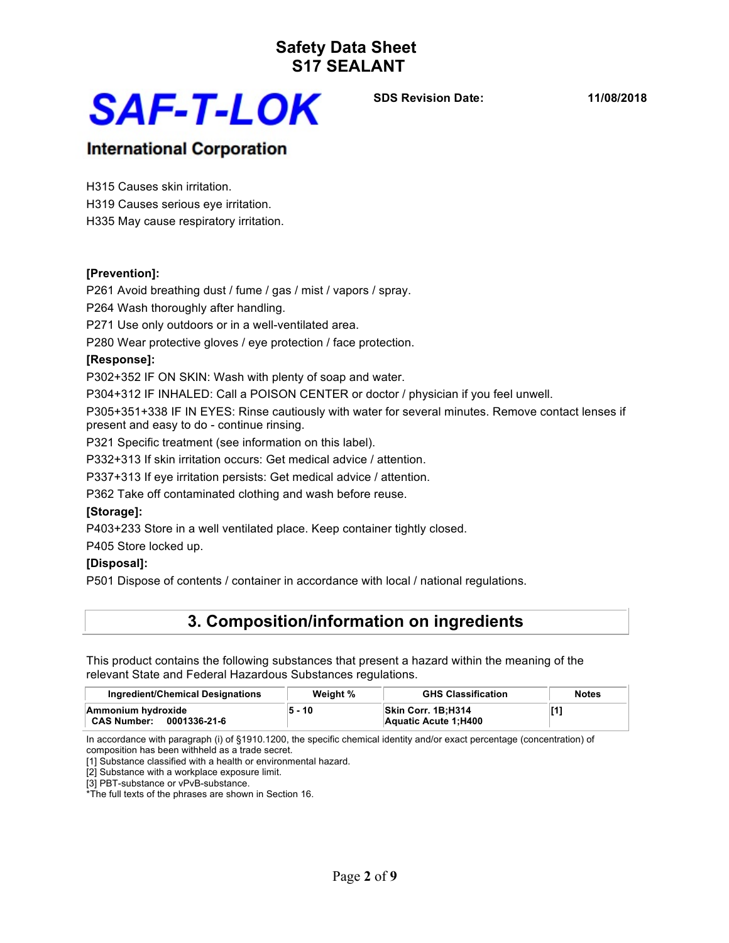

**SDS Revision Date: 11/08/2018**

### **International Corporation**

H315 Causes skin irritation.

H319 Causes serious eye irritation.

H335 May cause respiratory irritation.

#### **[Prevention]:**

P261 Avoid breathing dust / fume / gas / mist / vapors / spray.

P264 Wash thoroughly after handling.

P271 Use only outdoors or in a well-ventilated area.

P280 Wear protective gloves / eye protection / face protection.

#### **[Response]:**

P302+352 IF ON SKIN: Wash with plenty of soap and water.

P304+312 IF INHALED: Call a POISON CENTER or doctor / physician if you feel unwell.

P305+351+338 IF IN EYES: Rinse cautiously with water for several minutes. Remove contact lenses if present and easy to do - continue rinsing.

P321 Specific treatment (see information on this label).

P332+313 If skin irritation occurs: Get medical advice / attention.

P337+313 If eye irritation persists: Get medical advice / attention.

P362 Take off contaminated clothing and wash before reuse.

#### **[Storage]:**

P403+233 Store in a well ventilated place. Keep container tightly closed.

P405 Store locked up.

#### **[Disposal]:**

P501 Dispose of contents / container in accordance with local / national regulations.

### **3. Composition/information on ingredients**

This product contains the following substances that present a hazard within the meaning of the relevant State and Federal Hazardous Substances regulations.

| Ingredient/Chemical Designations                         | Weight % | <b>GHS Classification</b>                         | <b>Notes</b> |
|----------------------------------------------------------|----------|---------------------------------------------------|--------------|
| Ammonium hydroxide<br>0001336-21-6<br><b>CAS Number:</b> | 5 - 10   | <b>Skin Corr. 1B:H314</b><br>Aquatic Acute 1:H400 | [1           |

In accordance with paragraph (i) of §1910.1200, the specific chemical identity and/or exact percentage (concentration) of composition has been withheld as a trade secret.

[1] Substance classified with a health or environmental hazard.

[2] Substance with a workplace exposure limit.

[3] PBT-substance or vPvB-substance.

\*The full texts of the phrases are shown in Section 16.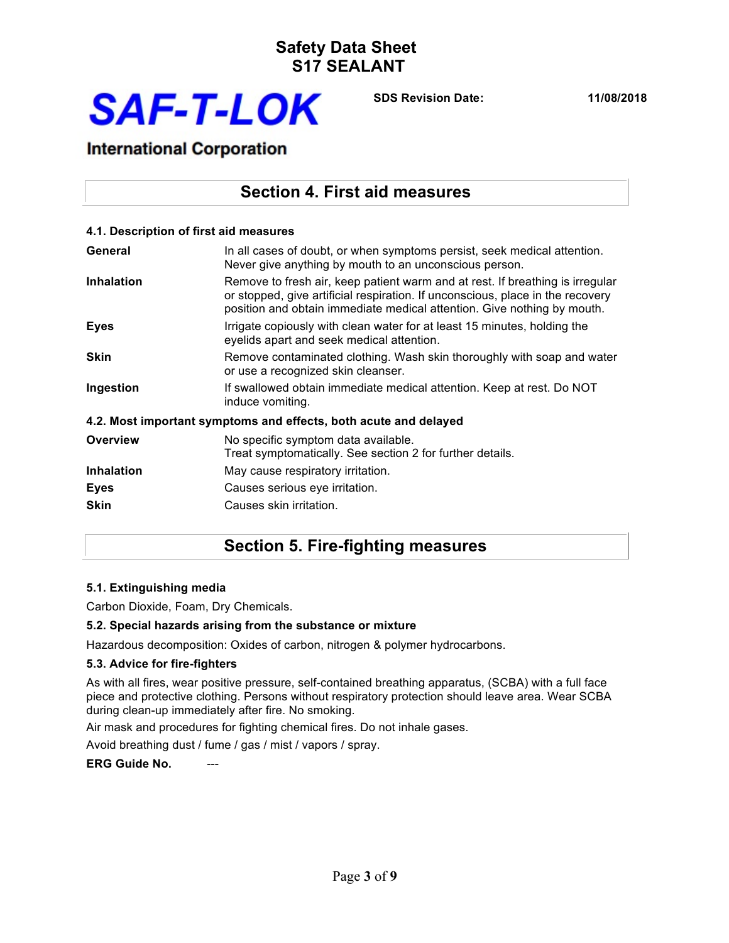

**SDS Revision Date: 11/08/2018**

### **International Corporation**

### **Section 4. First aid measures**

| 4.1. Description of first aid measures |                                                                                                                                                                                                                                            |
|----------------------------------------|--------------------------------------------------------------------------------------------------------------------------------------------------------------------------------------------------------------------------------------------|
| General                                | In all cases of doubt, or when symptoms persist, seek medical attention.<br>Never give anything by mouth to an unconscious person.                                                                                                         |
| <b>Inhalation</b>                      | Remove to fresh air, keep patient warm and at rest. If breathing is irregular<br>or stopped, give artificial respiration. If unconscious, place in the recovery<br>position and obtain immediate medical attention. Give nothing by mouth. |
| <b>Eyes</b>                            | Irrigate copiously with clean water for at least 15 minutes, holding the<br>eyelids apart and seek medical attention.                                                                                                                      |
| <b>Skin</b>                            | Remove contaminated clothing. Wash skin thoroughly with soap and water<br>or use a recognized skin cleanser.                                                                                                                               |
| Ingestion                              | If swallowed obtain immediate medical attention. Keep at rest. Do NOT<br>induce vomiting.                                                                                                                                                  |
|                                        | 4.2. Most important symptoms and effects, both acute and delayed                                                                                                                                                                           |
| <b>Overview</b>                        | No specific symptom data available.<br>Treat symptomatically. See section 2 for further details.                                                                                                                                           |
| <b>Inhalation</b>                      | May cause respiratory irritation.                                                                                                                                                                                                          |
| <b>Eyes</b>                            | Causes serious eye irritation.                                                                                                                                                                                                             |
| <b>Skin</b>                            | Causes skin irritation.                                                                                                                                                                                                                    |

### **Section 5. Fire-fighting measures**

#### **5.1. Extinguishing media**

Carbon Dioxide, Foam, Dry Chemicals.

#### **5.2. Special hazards arising from the substance or mixture**

Hazardous decomposition: Oxides of carbon, nitrogen & polymer hydrocarbons.

#### **5.3. Advice for fire-fighters**

As with all fires, wear positive pressure, self-contained breathing apparatus, (SCBA) with a full face piece and protective clothing. Persons without respiratory protection should leave area. Wear SCBA during clean-up immediately after fire. No smoking.

Air mask and procedures for fighting chemical fires. Do not inhale gases.

Avoid breathing dust / fume / gas / mist / vapors / spray.

#### **ERG Guide No.**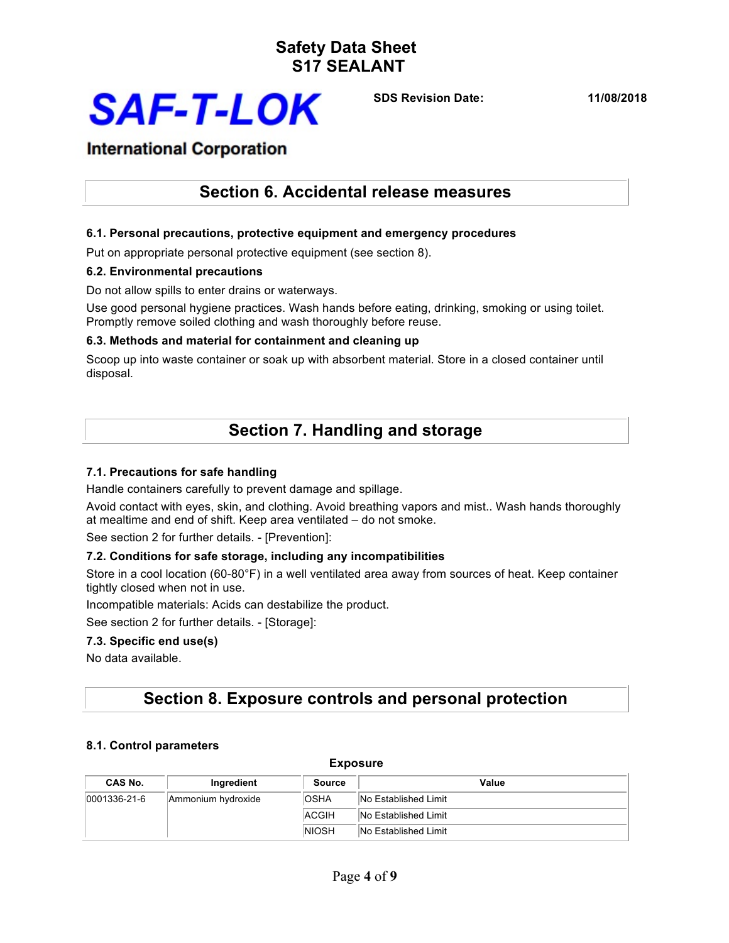

**SDS Revision Date: 11/08/2018**

### **International Corporation**

### **Section 6. Accidental release measures**

#### **6.1. Personal precautions, protective equipment and emergency procedures**

Put on appropriate personal protective equipment (see section 8).

#### **6.2. Environmental precautions**

Do not allow spills to enter drains or waterways.

Use good personal hygiene practices. Wash hands before eating, drinking, smoking or using toilet. Promptly remove soiled clothing and wash thoroughly before reuse.

### **6.3. Methods and material for containment and cleaning up**

Scoop up into waste container or soak up with absorbent material. Store in a closed container until disposal.

## **Section 7. Handling and storage**

#### **7.1. Precautions for safe handling**

Handle containers carefully to prevent damage and spillage.

Avoid contact with eyes, skin, and clothing. Avoid breathing vapors and mist.. Wash hands thoroughly at mealtime and end of shift. Keep area ventilated – do not smoke.

See section 2 for further details. - [Prevention]:

#### **7.2. Conditions for safe storage, including any incompatibilities**

Store in a cool location (60-80°F) in a well ventilated area away from sources of heat. Keep container tightly closed when not in use.

Incompatible materials: Acids can destabilize the product.

See section 2 for further details. - [Storage]:

#### **7.3. Specific end use(s)**

No data available.

### **Section 8. Exposure controls and personal protection**

#### **8.1. Control parameters**

| <b>Exposure</b>      |                    |               |                      |  |
|----------------------|--------------------|---------------|----------------------|--|
| CAS No.              | Ingredient         | <b>Source</b> | Value                |  |
| $ 0001336 - 21 - 6 $ | Ammonium hydroxide | <b>OSHA</b>   | No Established Limit |  |
|                      |                    | <b>ACGIH</b>  | No Established Limit |  |
|                      |                    | <b>NIOSH</b>  | No Established Limit |  |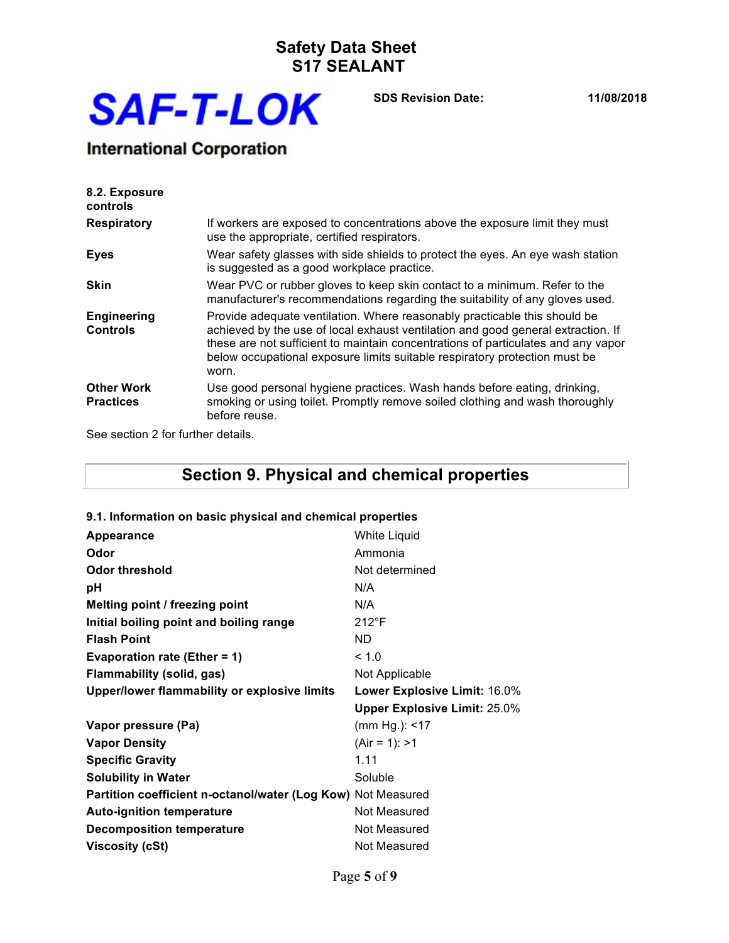

**SDS Revision Date: 11/08/2018**

# **International Corporation**

| 8.2. Exposure<br>controls             |                                                                                                                                                                                                                                                                                                                                           |
|---------------------------------------|-------------------------------------------------------------------------------------------------------------------------------------------------------------------------------------------------------------------------------------------------------------------------------------------------------------------------------------------|
| <b>Respiratory</b>                    | If workers are exposed to concentrations above the exposure limit they must<br>use the appropriate, certified respirators.                                                                                                                                                                                                                |
| <b>Eyes</b>                           | Wear safety glasses with side shields to protect the eyes. An eye wash station<br>is suggested as a good workplace practice.                                                                                                                                                                                                              |
| <b>Skin</b>                           | Wear PVC or rubber gloves to keep skin contact to a minimum. Refer to the<br>manufacturer's recommendations regarding the suitability of any gloves used.                                                                                                                                                                                 |
| <b>Engineering</b><br><b>Controls</b> | Provide adequate ventilation. Where reasonably practicable this should be<br>achieved by the use of local exhaust ventilation and good general extraction. If<br>these are not sufficient to maintain concentrations of particulates and any vapor<br>below occupational exposure limits suitable respiratory protection must be<br>worn. |
| <b>Other Work</b><br><b>Practices</b> | Use good personal hygiene practices. Wash hands before eating, drinking,<br>smoking or using toilet. Promptly remove soiled clothing and wash thoroughly<br>before reuse.                                                                                                                                                                 |

See section 2 for further details.

# **Section 9. Physical and chemical properties**

#### **9.1. Information on basic physical and chemical properties**

| <b>Appearance</b>                                            | White Liquid                        |
|--------------------------------------------------------------|-------------------------------------|
| Odor                                                         | Ammonia                             |
| Odor threshold                                               | Not determined                      |
| рH                                                           | N/A                                 |
| Melting point / freezing point                               | N/A                                 |
| Initial boiling point and boiling range                      | $212^{\circ}F$                      |
| <b>Flash Point</b>                                           | ND.                                 |
| <b>Evaporation rate (Ether = 1)</b>                          | < 1.0                               |
| <b>Flammability (solid, gas)</b>                             | Not Applicable                      |
| Upper/lower flammability or explosive limits                 | Lower Explosive Limit: 16.0%        |
|                                                              | <b>Upper Explosive Limit: 25.0%</b> |
| Vapor pressure (Pa)                                          | (mm Hg.): $<$ 17                    |
| <b>Vapor Density</b>                                         | $(Air = 1): > 1$                    |
| <b>Specific Gravity</b>                                      | 1.11                                |
| <b>Solubility in Water</b>                                   | Soluble                             |
| Partition coefficient n-octanol/water (Log Kow) Not Measured |                                     |
| <b>Auto-ignition temperature</b>                             | Not Measured                        |
| <b>Decomposition temperature</b>                             | Not Measured                        |
| Viscosity (cSt)                                              |                                     |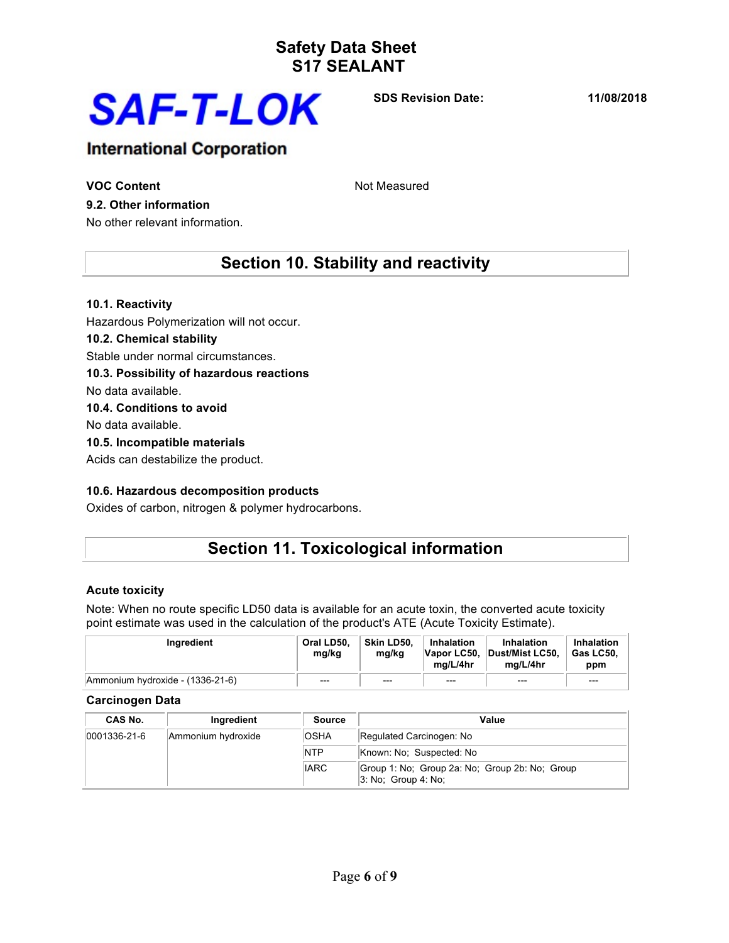

**SDS Revision Date: 11/08/2018**

### **International Corporation**

**VOC Content VOC Content** 

#### **9.2. Other information**

No other relevant information.

### **Section 10. Stability and reactivity**

#### **10.1. Reactivity**

Hazardous Polymerization will not occur.

#### **10.2. Chemical stability**

Stable under normal circumstances.

#### **10.3. Possibility of hazardous reactions**

No data available.

#### **10.4. Conditions to avoid**

No data available.

#### **10.5. Incompatible materials**

Acids can destabilize the product.

#### **10.6. Hazardous decomposition products**

Oxides of carbon, nitrogen & polymer hydrocarbons.

## **Section 11. Toxicological information**

#### **Acute toxicity**

Note: When no route specific LD50 data is available for an acute toxin, the converted acute toxicity point estimate was used in the calculation of the product's ATE (Acute Toxicity Estimate).

| Ingredient                       | Oral LD50.<br>mg/kg | Skin LD50.<br>ma/ka | Inhalation<br>Vapor LC50,<br>ma/L/4hr | Inhalation<br>Dust/Mist LC50.<br>ma/L/4hr | Inhalation<br>$^{\circ}$ Gas LC50.<br>ppm |
|----------------------------------|---------------------|---------------------|---------------------------------------|-------------------------------------------|-------------------------------------------|
| Ammonium hydroxide - (1336-21-6) | $---$               | $---$               | $---$                                 | $---$                                     | $---$                                     |

#### **Carcinogen Data**

| CAS No.          | Ingredient         | <b>Source</b> | Value                                                                    |
|------------------|--------------------|---------------|--------------------------------------------------------------------------|
| $ 0001336-21-6 $ | Ammonium hydroxide | <b>OSHA</b>   | Regulated Carcinogen: No                                                 |
|                  |                    | <b>NTP</b>    | Known: No: Suspected: No                                                 |
|                  |                    | <b>IARC</b>   | Group 1: No; Group 2a: No; Group 2b: No; Group<br>$ 3:$ No: Group 4: No: |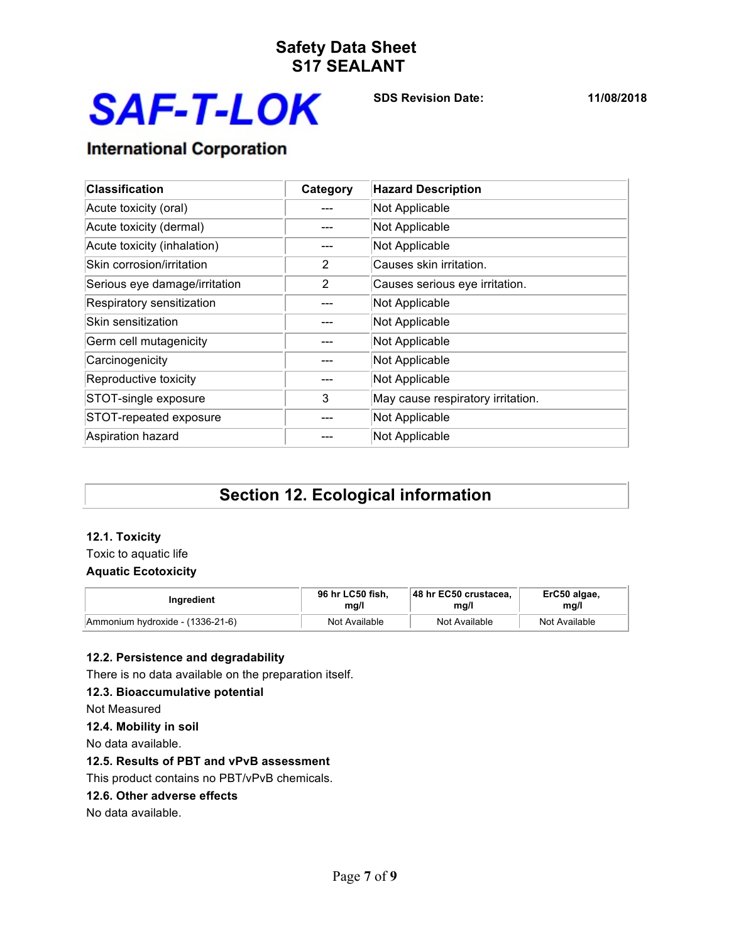

**SDS Revision Date: 11/08/2018**

# **International Corporation**

| <b>Classification</b>         | Category | <b>Hazard Description</b>         |
|-------------------------------|----------|-----------------------------------|
| Acute toxicity (oral)         |          | Not Applicable                    |
| Acute toxicity (dermal)       |          | Not Applicable                    |
| Acute toxicity (inhalation)   |          | Not Applicable                    |
| Skin corrosion/irritation     | 2        | Causes skin irritation.           |
| Serious eye damage/irritation | 2        | Causes serious eye irritation.    |
| Respiratory sensitization     |          | Not Applicable                    |
| Skin sensitization            |          | Not Applicable                    |
| Germ cell mutagenicity        |          | Not Applicable                    |
| Carcinogenicity               |          | Not Applicable                    |
| Reproductive toxicity         |          | Not Applicable                    |
| STOT-single exposure          | 3        | May cause respiratory irritation. |
| STOT-repeated exposure        |          | Not Applicable                    |
| Aspiration hazard             |          | Not Applicable                    |

# **Section 12. Ecological information**

#### **12.1. Toxicity**

Toxic to aquatic life

### **Aquatic Ecotoxicity**

| Ingredient                       | 96 hr LC50 fish. | 48 hr EC50 crustacea. | ErC50 algae,  |
|----------------------------------|------------------|-----------------------|---------------|
|                                  | ma/l             | mg/l                  | mg/l          |
| Ammonium hydroxide - (1336-21-6) | Not Available    | Not Available         | Not Available |

#### **12.2. Persistence and degradability**

There is no data available on the preparation itself.

#### **12.3. Bioaccumulative potential**

Not Measured

#### **12.4. Mobility in soil**

No data available.

#### **12.5. Results of PBT and vPvB assessment**

This product contains no PBT/vPvB chemicals.

#### **12.6. Other adverse effects**

No data available.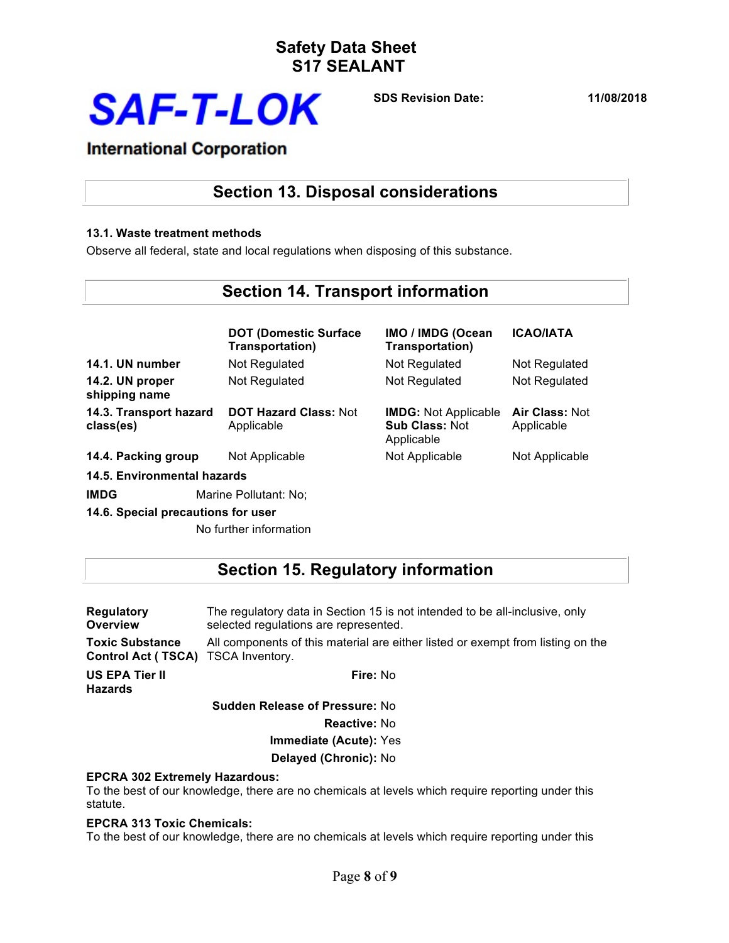

**SDS Revision Date: 11/08/2018**

### **International Corporation**

### **Section 13. Disposal considerations**

#### **13.1. Waste treatment methods**

Observe all federal, state and local regulations when disposing of this substance.

### **Section 14. Transport information**

|                                     | <b>DOT (Domestic Surface</b><br>Transportation) | IMO / IMDG (Ocean<br>Transportation)                               | <b>ICAO/IATA</b>                    |
|-------------------------------------|-------------------------------------------------|--------------------------------------------------------------------|-------------------------------------|
| 14.1. UN number                     | Not Regulated                                   | Not Regulated                                                      | Not Regulated                       |
| 14.2. UN proper<br>shipping name    | Not Regulated                                   | Not Regulated                                                      | Not Regulated                       |
| 14.3. Transport hazard<br>class(es) | <b>DOT Hazard Class: Not</b><br>Applicable      | <b>IMDG: Not Applicable</b><br><b>Sub Class: Not</b><br>Applicable | <b>Air Class: Not</b><br>Applicable |
| 14.4. Packing group                 | Not Applicable                                  | Not Applicable                                                     | Not Applicable                      |
| <b>14.5. Environmental hazards</b>  |                                                 |                                                                    |                                     |
| <b>IMDG</b>                         | Marine Pollutant: No;                           |                                                                    |                                     |

### **14.6. Special precautions for user**

No further information

### **Section 15. Regulatory information**

| <b>Regulatory</b>                | The regulatory data in Section 15 is not intended to be all-inclusive, only     |
|----------------------------------|---------------------------------------------------------------------------------|
| <b>Overview</b>                  | selected regulations are represented.                                           |
| <b>Toxic Substance</b>           | All components of this material are either listed or exempt from listing on the |
| <b>Control Act (TSCA)</b>        | TSCA Inventory.                                                                 |
| US EPA Tier II<br><b>Hazards</b> | Fire: No                                                                        |
|                                  | <b>Sudden Release of Pressure: No</b>                                           |

**Reactive:** No

**Immediate (Acute):** Yes

**Delayed (Chronic):** No

#### **EPCRA 302 Extremely Hazardous:**

To the best of our knowledge, there are no chemicals at levels which require reporting under this statute.

#### **EPCRA 313 Toxic Chemicals:**

To the best of our knowledge, there are no chemicals at levels which require reporting under this